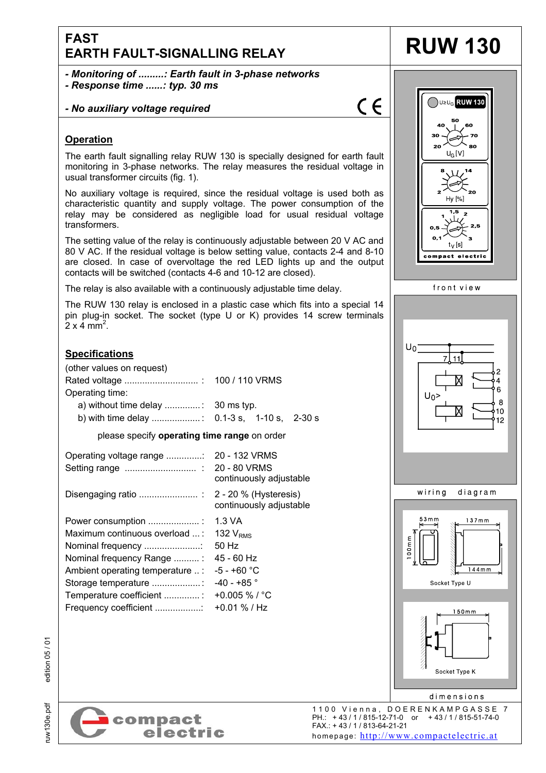# **FAST EARTH FAULT-SIGNALLING RELAY RUW 130**

*- Monitoring of .........: Earth fault in 3-phase networks - Response time ......: typ. 30 ms* 

## *- No auxiliary voltage required*



## **Operation**

The earth fault signalling relay RUW 130 is specially designed for earth fault monitoring in 3-phase networks. The relay measures the residual voltage in usual transformer circuits (fig. 1).

No auxiliary voltage is required, since the residual voltage is used both as characteristic quantity and supply voltage. The power consumption of the relay may be considered as negligible load for usual residual voltage transformers.

The setting value of the relay is continuously adjustable between 20 V AC and 80 V AC. If the residual voltage is below setting value, contacts 2-4 and 8-10 are closed. In case of overvoltage the red LED lights up and the output contacts will be switched (contacts 4-6 and 10-12 are closed).

The relay is also available with a continuously adjustable time delay.

The RUW 130 relay is enclosed in a plastic case which fits into a special 14 pin plug-in socket. The socket (type U or K) provides 14 screw terminals  $2 \times 4 \text{ mm}^2$ .

# **Specifications**

| (other values on request)<br>Operating time:<br>a) without time delay $\ldots$ : 30 ms typ.                                                                                                                          |                                                                                                                                  |  |
|----------------------------------------------------------------------------------------------------------------------------------------------------------------------------------------------------------------------|----------------------------------------------------------------------------------------------------------------------------------|--|
| please specify operating time range on order                                                                                                                                                                         |                                                                                                                                  |  |
|                                                                                                                                                                                                                      | continuously adjustable                                                                                                          |  |
|                                                                                                                                                                                                                      | continuously adjustable                                                                                                          |  |
| Power consumption<br>Maximum continuous overload  :<br>Nominal frequency<br>Nominal frequency Range :<br>Ambient operating temperature  :<br>Storage temperature<br>Temperature coefficient<br>Frequency coefficient | 1.3 VA<br>132 $V_{RMS}$<br>50 Hz<br>45 - 60 Hz<br>-5 - +60 °C<br>-40 - +85 $^{\circ}$<br>+0.005 % / $^{\circ}$ C<br>+0.01 % / Hz |  |



ruw130e.pdf edition 05 / 01 edition 05/01

ruw130e.pdf

 1100 Vienna, DOERENKAMPGASSE 7 PH.: + 43 / 1 / 815-12-71-0 or + 43 / 1 / 815-51-74-0 FAX.: + 43 / 1 / 813-64-21-21 homepage: http://www.compactelectric.at

Socket Type K

dimensions